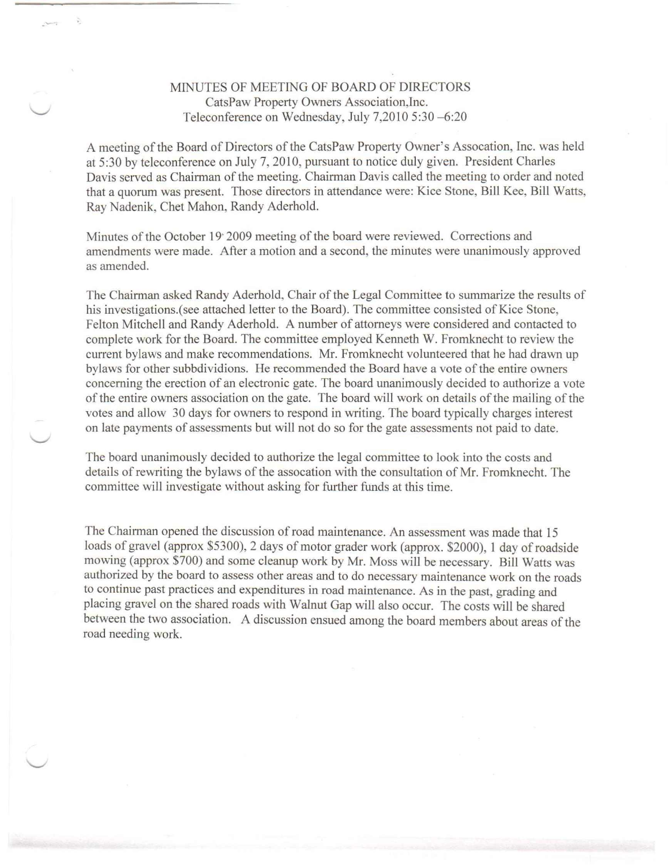## MINUTES OF MEETING OF BOARD OF DIRECTORS CatsPaw Property Owners Association,Inc. Teleconference on Wednesday, July 7,2010 5:30 -6:20

**\_- . ...**

A meeting of the Board of Directors of the CatsPaw Property Owner's Assocation, Inc. was held at 5:30 by teleconference on July 7, 2010, pursuant to notice duly given. President Charles Davis served as Chairman of the meeting. Chairman Davis called the meeting to order and noted that a quorum was present. Those directors in attendance were: Kice Stone, Bill Kee, Bill Watts, Ray Nadenik, Chet Mahon, Randy Aderhold.

Minutes of the October 19' 2009 meeting of the board were reviewed. Corrections and amendments were made. After a motion and a second, the minutes were unanimously approved as amended.

The Chairman asked Randy Aderhold, Chair of the Legal Committee to summarize the results of his investigations. (see attached letter to the Board). The committee consisted of Kice Stone, Felton Mitchell and Randy Aderhold. A number of attorneys were considered and contacted to complete work for the Board. The committee employed Kenneth W. Fromknecht to review the current bylaws and make recommendations. Mr. Fromknecht volunteered that he had drawn up bylaws for other subbdividions. He recommended the Board have a vote of the entire owners concerning the erection of an electronic gate. The board unanimously decided to authorize a vote of the entire owners association on the gate. The board will work on details of the mailing of the votes and allow 30 days for owners to respond in writing. The board typically charges interest on late payments of assessments but will not do so for the gate assessments not paid to date.

The board unanimously decided to authorize the legal committee to look into the costs and details of rewriting the bylaws of the assocation with the consultation of Mr. Fromknecht. The committee will investigate without asking for further funds at this time.

The Chairman opened the discussion of road maintenance. An assessment was made that 15 loads of gravel (approx \$5300), 2 days of motor grader work (approx. \$2000), 1 day of roadside mowing (approx \$700) and some cleanup work by Mr. Moss will be necessary. Bill Watts was authorized by the board to assess other areas and to do necessary maintenance work on the roads to continue past practices and expenditures in road maintenance. As in the past, grading and placing gravel on the shared roads with Walnut Gap will also occur. The costs will be shared between the two association. A discussion ensued among the board members about areas of the road needing work.